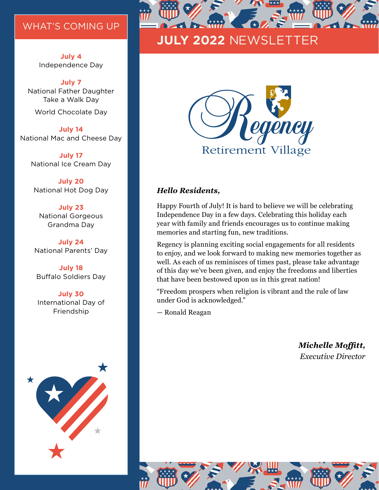#### WHAT'S COMING UP

**July 4** Independence Day

#### **July 7**

National Father Daughter Take a Walk Day

World Chocolate Day

**July 14** National Mac and Cheese Day

**July 17** National Ice Cream Day

**July 20** National Hot Dog Day

**July 23** National Gorgeous Grandma Day

**July 24** National Parents' Day

**July 18** Buffalo Soldiers Day

**July 30** International Day of Friendship





## **JULY 2022** NEWSLETTER



#### *Hello Residents,*

Happy Fourth of July! It is hard to believe we will be celebrating Independence Day in a few days. Celebrating this holiday each year with family and friends encourages us to continue making memories and starting fun, new traditions.

Regency is planning exciting social engagements for all residents to enjoy, and we look forward to making new memories together as well. As each of us reminisces of times past, please take advantage of this day we've been given, and enjoy the freedoms and liberties that have been bestowed upon us in this great nation!

"Freedom prospers when religion is vibrant and the rule of law under God is acknowledged."

— Ronald Reagan

*Michelle Moffitt, Executive Director* 

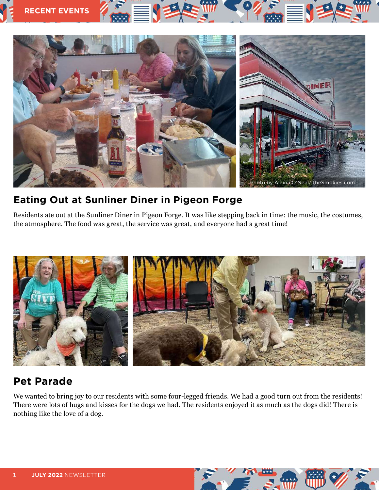

### **Eating Out at Sunliner Diner in Pigeon Forge**

Residents ate out at the Sunliner Diner in Pigeon Forge. It was like stepping back in time: the music, the costumes, the atmosphere. The food was great, the service was great, and everyone had a great time!



## **Pet Parade**

We wanted to bring joy to our residents with some four-legged friends. We had a good turn out from the residents! There were lots of hugs and kisses for the dogs we had. The residents enjoyed it as much as the dogs did! There is nothing like the love of a dog.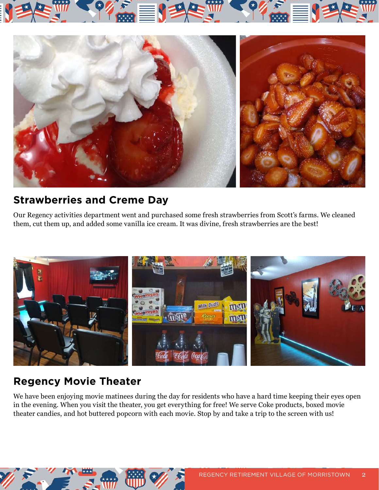



### **Strawberries and Creme Day**

Our Regency activities department went and purchased some fresh strawberries from Scott's farms. We cleaned them, cut them up, and added some vanilla ice cream. It was divine, fresh strawberries are the best!



## **Regency Movie Theater**

We have been enjoying movie matinees during the day for residents who have a hard time keeping their eyes open in the evening. When you visit the theater, you get everything for free! We serve Coke products, boxed movie theater candies, and hot buttered popcorn with each movie. Stop by and take a trip to the screen with us!

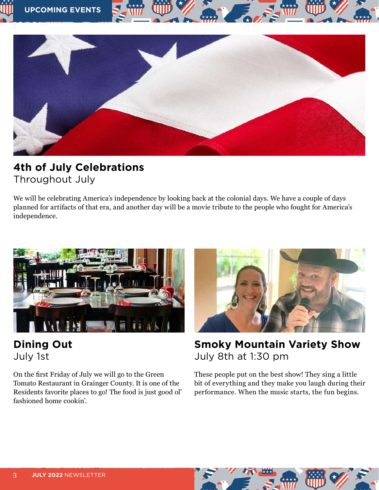

### **4th of July Celebrations** Throughout July

We will be celebrating America's independence by looking back at the colonial days. We have a couple of days planned for artifacts of that era, and another day will be a movie tribute to the people who fought for America's independence.



### **Dining Out** July 1st

On the first Friday of July we will go to the Green Tomato Restaurant in Grainger County. It is one of the Residents favorite places to go! The food is just good ol' fashioned home cookin'.



**Smoky Mountain Variety Show**  July 8th at 1:30 pm

These people put on the best show! They sing a little bit of everything and they make you laugh during their performance. When the music starts, the fun begins.

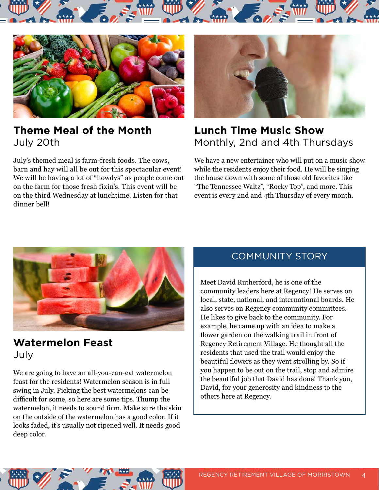



### **Theme Meal of the Month** July 20th

July's themed meal is farm-fresh foods. The cows, barn and hay will all be out for this spectacular event! We will be having a lot of "howdys" as people come out on the farm for those fresh fixin's. This event will be on the third Wednesday at lunchtime. Listen for that dinner bell!



### **Lunch Time Music Show** Monthly, 2nd and 4th Thursdays

We have a new entertainer who will put on a music show while the residents enjoy their food. He will be singing the house down with some of those old favorites like "The Tennessee Waltz", "Rocky Top", and more. This event is every 2nd and 4th Thursday of every month.



### **Watermelon Feast** July

We are going to have an all-you-can-eat watermelon feast for the residents! Watermelon season is in full swing in July. Picking the best watermelons can be difficult for some, so here are some tips. Thump the watermelon, it needs to sound firm. Make sure the skin on the outside of the watermelon has a good color. If it looks faded, it's usually not ripened well. It needs good deep color.

### COMMUNITY STORY

Meet David Rutherford, he is one of the community leaders here at Regency! He serves on local, state, national, and international boards. He also serves on Regency community committees. He likes to give back to the community. For example, he came up with an idea to make a flower garden on the walking trail in front of Regency Retirement Village. He thought all the residents that used the trail would enjoy the beautiful flowers as they went strolling by. So if you happen to be out on the trail, stop and admire the beautiful job that David has done! Thank you, David, for your generosity and kindness to the others here at Regency.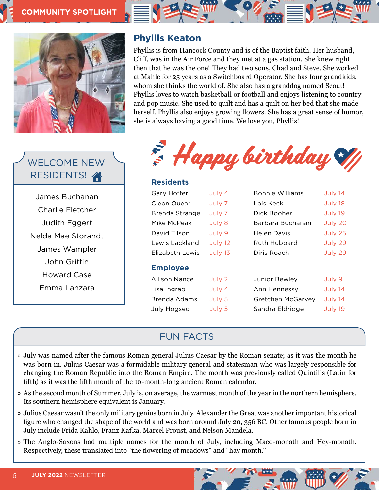

### WELCOME NEW RESIDENTS!

James Buchanan Charlie Fletcher Judith Eggert Nelda Mae Storandt James Wampler John Griffin Howard Case Emma Lanzara

#### **Phyllis Keaton**

Phyllis is from Hancock County and is of the Baptist faith. Her husband, Cliff, was in the Air Force and they met at a gas station. She knew right then that he was the one! They had two sons, Chad and Steve. She worked at Mahle for 25 years as a Switchboard Operator. She has four grandkids, whom she thinks the world of. She also has a granddog named Scout! Phyllis loves to watch basketball or football and enjoys listening to country and pop music. She used to quilt and has a quilt on her bed that she made herself. Phyllis also enjoys growing flowers. She has a great sense of humor, she is always having a good time. We love you, Phyllis!



#### **Residents**

| Gary Hoffer          | July 4  | Bonnie Williams   | July 14 |
|----------------------|---------|-------------------|---------|
| Cleon Quear          | July 7  | Lois Keck         | July 18 |
| Brenda Strange       | July 7  | Dick Booher       | July 19 |
| Mike McPeak          | July 8  | Barbara Buchanan  | July 20 |
| David Tilson         | July 9  | Helen Davis       | July 25 |
| Lewis Lackland       | July 12 | Ruth Hubbard      | July 29 |
| Elizabeth Lewis      | July 13 | Diris Roach       | July 29 |
| <b>Employee</b>      |         |                   |         |
| <b>Allison Nance</b> | July 2  | Junior Bewley     | July 9  |
| Lisa Ingrao          | July 4  | Ann Hennessy      | July 14 |
| Brenda Adams         | July 5  | Gretchen McGarvey | July 14 |
| <b>July Hogsed</b>   | July 5  | Sandra Eldridge   | July 19 |

#### FUN FACTS

- » July was named after the famous Roman general Julius Caesar by the Roman senate; as it was the month he was born in. Julius Caesar was a formidable military general and statesman who was largely responsible for changing the Roman Republic into the Roman Empire. The month was previously called Quintilis (Latin for fifth) as it was the fifth month of the 10-month-long ancient Roman calendar.
- » As the second month of Summer, July is, on average, the warmest month of the year in the northern hemisphere. Its southern hemisphere equivalent is January.
- » Julius Caesar wasn't the only military genius born in July. Alexander the Great was another important historical figure who changed the shape of the world and was born around July 20, 356 BC. Other famous people born in July include Frida Kahlo, Franz Kafka, Marcel Proust, and Nelson Mandela.
- » The Anglo-Saxons had multiple names for the month of July, including Maed-monath and Hey-monath. Respectively, these translated into "the flowering of meadows" and "hay month."

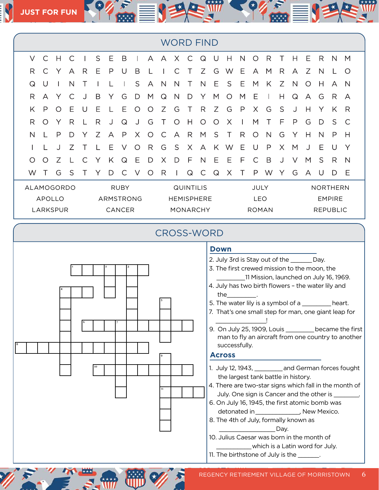| <b>WORD FIND</b> |              |         |   |           |           |             |          |   |         |                   |              |   |   |   |        |              |              |   |   |              |              |                 |                 |              |  |  |  |
|------------------|--------------|---------|---|-----------|-----------|-------------|----------|---|---------|-------------------|--------------|---|---|---|--------|--------------|--------------|---|---|--------------|--------------|-----------------|-----------------|--------------|--|--|--|
| $\vee$           | C            | Н       |   |           | S         | Ε           | B        |   | A       | A                 | X.           | C | Q | U | Н      | N            | ∩            | R |   | Н            | Ε            | R               | N               | M            |  |  |  |
| R                | C            | Y       | A | R         | Е         | P           | U        | B |         |                   | С            | Т | Ζ | G | W      | Ε            | А            | M | R | A            | Ζ            | N               |                 | O            |  |  |  |
| $\mathsf Q$      | U            |         | N |           |           |             |          | S | A       | $\mathsf{N}$      | N            | Τ | N | Е | S      | Ε            | M            | K | Ζ | $\mathsf{N}$ | $\circ$      | H               | A               | N            |  |  |  |
| R                | A            |         |   |           | B         | Y           | G        | D | M       | Q                 | $\mathsf{N}$ | D | Y | M | O      | M            | Ε            |   | H | Q            | $\forall$    | G               | R.              | А            |  |  |  |
| K                | $\mathsf{P}$ | $\circ$ | Ε | U         | Ε         |             | Ε        | O | $\circ$ | Ζ                 | G            | Т | R | Ζ | G      | $\mathsf{P}$ | X.           | G | S | J            | Н            | Y               | K               | R            |  |  |  |
| R                | O            |         | R |           | R         | J           | Q        | J | G       |                   | ∩            | Н | Ω | O | Χ      |              | М            |   | F | P            | G            | D               | S               | $\mathsf{C}$ |  |  |  |
| $\mathsf{N}$     |              | P       | D | Y         | Ζ         | A           | P        | X | $\circ$ | $\mathsf{C}$      | $\forall$    | R | M | S | $\top$ | R            | O            | N | G | Y            | $\mathsf{H}$ | N               | P               | H            |  |  |  |
|                  |              |         | 7 |           |           | Ε           | $\vee$   | ∩ | R       | G                 | S            | X | А | K | W      | Ε            | U            | P | X | M            |              | Ε               | $\cup$          | Y            |  |  |  |
| O                | O            | Ζ       |   | $\subset$ | Υ         | K           | $\Omega$ | Ε | D       | $\times$          | D            | F | N | Ε | Е      | F            | C            | B |   | V            | M            | S               | R               | $\mathsf{N}$ |  |  |  |
| W                |              | G       | S |           |           | D           | C        | V | $\circ$ | R                 |              | Q | С | Q | Χ      |              | P            | W |   | G            | A            | U               | D               | Ε            |  |  |  |
| ALAMOGORDO       |              |         |   |           |           | <b>RUBY</b> |          |   |         | <b>QUINTILIS</b>  |              |   |   |   |        | JULY         |              |   |   |              |              | <b>NORTHERN</b> |                 |              |  |  |  |
| <b>APOLLO</b>    |              |         |   |           | ARMSTRONG |             |          |   |         | <b>HEMISPHERE</b> |              |   |   |   |        | <b>LEO</b>   |              |   |   |              |              | <b>EMPIRE</b>   |                 |              |  |  |  |
| LARKSPUR         |              |         |   |           | CANCER    |             |          |   |         |                   | MONARCHY     |   |   |   |        |              | <b>ROMAN</b> |   |   |              |              |                 | <b>REPUBLIC</b> |              |  |  |  |